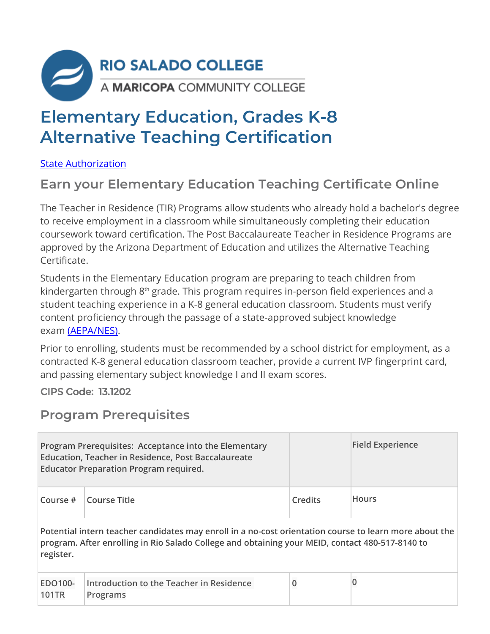

# **Elementary Education, Grades K-8 Alternative Teaching Certification**

State Authorization

### **Earn your Elementary Education Teaching Certificate Online**

The Teacher in Residence (TIR) Programs allow students who already hold a bachelor's degree to receive employment in a classroom while simultaneously completing their education coursework toward certification. The Post Baccalaureate Teacher in Residence Programs are approved by the Arizona Department of Education and utilizes the Alternative Teaching Certificate.

Students in the Elementary Education program are preparing to teach children from kindergarten through 8<sup>th</sup> grade. This program requires in-person field experiences and a student teaching experience in a K-8 general education classroom. Students must verify content proficiency through the passage of a state-approved subject knowledge exam (AEPA/NES).

Prior to enrolling, students must be recommended by a school district for employment, as a contracted K-8 general education classroom teacher, provide a current IVP fingerprint card, and passing elementary subject knowledge I and II exam scores.

CIPS Code: 13.1202

### **Program Prerequisites**

|                         | Program Prerequisites: Acceptance into the Elementary<br><b>Education, Teacher in Residence, Post Baccalaureate</b><br><b>Educator Preparation Program required.</b>                                      |                | <b>Field Experience</b> |
|-------------------------|-----------------------------------------------------------------------------------------------------------------------------------------------------------------------------------------------------------|----------------|-------------------------|
| Course #                | <b>Course Title</b>                                                                                                                                                                                       | <b>Credits</b> | <b>Hours</b>            |
| register.               | Potential intern teacher candidates may enroll in a no-cost orientation course to learn more about the<br>program. After enrolling in Rio Salado College and obtaining your MEID, contact 480-517-8140 to |                |                         |
| EDO100-<br><b>101TR</b> | Introduction to the Teacher in Residence<br>Programs                                                                                                                                                      | 0              | 0                       |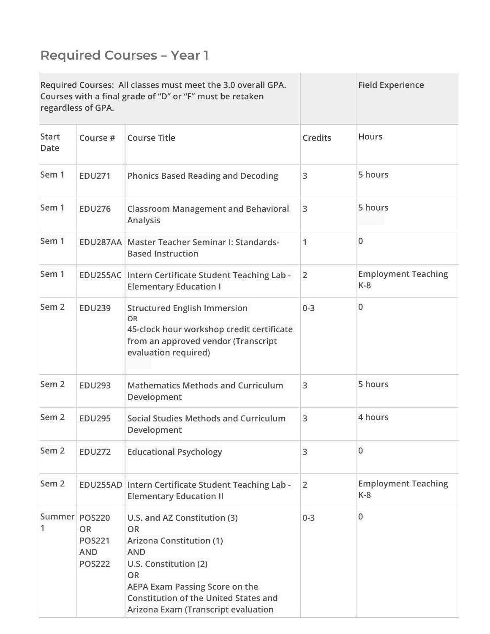## **Required Courses – Year 1**

|                             | regardless of GPA.                                        | Required Courses: All classes must meet the 3.0 overall GPA.<br>Courses with a final grade of "D" or "F" must be retaken                                                                                                                                  |                | <b>Field Experience</b>             |
|-----------------------------|-----------------------------------------------------------|-----------------------------------------------------------------------------------------------------------------------------------------------------------------------------------------------------------------------------------------------------------|----------------|-------------------------------------|
| <b>Start</b><br><b>Date</b> | Course #                                                  | <b>Course Title</b>                                                                                                                                                                                                                                       | <b>Credits</b> | <b>Hours</b>                        |
| Sem 1                       | <b>EDU271</b>                                             | <b>Phonics Based Reading and Decoding</b>                                                                                                                                                                                                                 | 3              | 5 hours                             |
| Sem 1                       | <b>EDU276</b>                                             | <b>Classroom Management and Behavioral</b><br><b>Analysis</b>                                                                                                                                                                                             | 3              | 5 hours                             |
| Sem 1                       |                                                           | EDU287AA Master Teacher Seminar I: Standards-<br><b>Based Instruction</b>                                                                                                                                                                                 | $\mathbf{1}$   | $\mathbf{0}$                        |
| Sem 1                       |                                                           | EDU255AC   Intern Certificate Student Teaching Lab -<br><b>Elementary Education I</b>                                                                                                                                                                     | $\overline{2}$ | <b>Employment Teaching</b><br>$K-8$ |
| Sem <sub>2</sub>            | <b>EDU239</b>                                             | <b>Structured English Immersion</b><br><b>OR</b><br>45-clock hour workshop credit certificate<br>from an approved vendor (Transcript<br>evaluation required)                                                                                              | $0 - 3$        | $\mathbf{0}$                        |
| Sem <sub>2</sub>            | <b>EDU293</b>                                             | <b>Mathematics Methods and Curriculum</b><br>Development                                                                                                                                                                                                  | 3              | 5 hours                             |
| Sem <sub>2</sub>            | <b>EDU295</b>                                             | Social Studies Methods and Curriculum<br>Development                                                                                                                                                                                                      | 3              | 4 hours                             |
| Sem <sub>2</sub>            | <b>EDU272</b>                                             | <b>Educational Psychology</b>                                                                                                                                                                                                                             | 3              | 0                                   |
| Sem <sub>2</sub>            |                                                           | EDU255AD Intern Certificate Student Teaching Lab -<br><b>Elementary Education II</b>                                                                                                                                                                      | $\overline{2}$ | <b>Employment Teaching</b><br>$K-8$ |
| Summer POS220<br>1          | <b>OR</b><br><b>POS221</b><br><b>AND</b><br><b>POS222</b> | U.S. and AZ Constitution (3)<br><b>OR</b><br><b>Arizona Constitution (1)</b><br><b>AND</b><br>U.S. Constitution (2)<br><b>OR</b><br>AEPA Exam Passing Score on the<br><b>Constitution of the United States and</b><br>Arizona Exam (Transcript evaluation | $0 - 3$        | $\bf{0}$                            |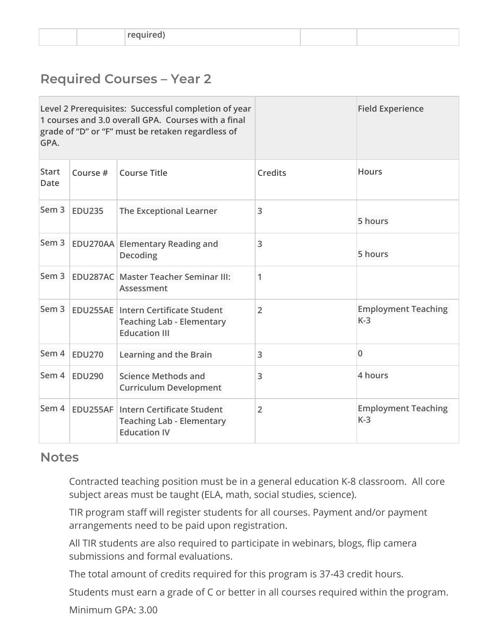|--|--|--|

#### **Required Courses – Year 2**

| GPA.                 |               | Level 2 Prerequisites: Successful completion of year<br>1 courses and 3.0 overall GPA. Courses with a final<br>grade of "D" or "F" must be retaken regardless of |                | <b>Field Experience</b>             |
|----------------------|---------------|------------------------------------------------------------------------------------------------------------------------------------------------------------------|----------------|-------------------------------------|
| <b>Start</b><br>Date | Course #      | <b>Course Title</b>                                                                                                                                              | <b>Credits</b> | <b>Hours</b>                        |
| Sem <sub>3</sub>     | <b>EDU235</b> | <b>The Exceptional Learner</b>                                                                                                                                   | 3              | 5 hours                             |
| Sem <sub>3</sub>     |               | <b>EDU270AA Elementary Reading and</b><br>Decoding                                                                                                               | 3              | 5 hours                             |
| Sem <sub>3</sub>     |               | <b>EDU287AC Master Teacher Seminar III:</b><br>Assessment                                                                                                        | 1              |                                     |
| Sem <sub>3</sub>     |               | <b>EDU255AE</b> Intern Certificate Student<br><b>Teaching Lab - Elementary</b><br><b>Education III</b>                                                           | $\overline{2}$ | <b>Employment Teaching</b><br>$K-3$ |
| Sem 4                | <b>EDU270</b> | Learning and the Brain                                                                                                                                           | 3              | $\bf{0}$                            |
| Sem 4                | <b>EDU290</b> | <b>Science Methods and</b><br><b>Curriculum Development</b>                                                                                                      | 3              | 4 hours                             |
| Sem 4                |               | <b>EDU255AF Intern Certificate Student</b><br><b>Teaching Lab - Elementary</b><br><b>Education IV</b>                                                            | $\overline{2}$ | <b>Employment Teaching</b><br>$K-3$ |

#### **Notes**

Contracted teaching position must be in a general education K-8 classroom. All core subject areas must be taught (ELA, math, social studies, science).

TIR program staff will register students for all courses. Payment and/or payment arrangements need to be paid upon registration.

All TIR students are also required to participate in webinars, blogs, flip camera submissions and formal evaluations.

The total amount of credits required for this program is 37-43 credit hours.

Students must earn a grade of C or better in all courses required within the program.

Minimum GPA: 3.00